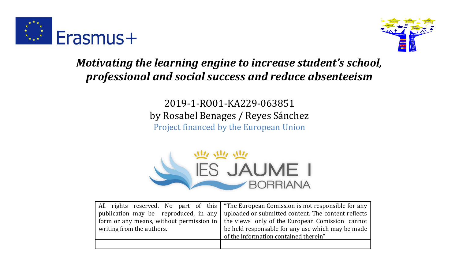



*Motivating the learning engine to increase student's school, professional and social success and reduce absenteeism*

> 2019-1-RO01-KA229-063851 by Rosabel Benages / Reyes Sánchez Project financed by the European Union



|                           | All rights reserved. No part of this "The European Comission is not responsible for any          |
|---------------------------|--------------------------------------------------------------------------------------------------|
|                           | publication may be reproduced, in any uploaded or submitted content. The content reflects        |
|                           | form or any means, without permission in $\vert$ the views only of the European Comission cannot |
| writing from the authors. | be held responsable for any use which may be made                                                |
|                           | of the information contained therein"                                                            |
|                           |                                                                                                  |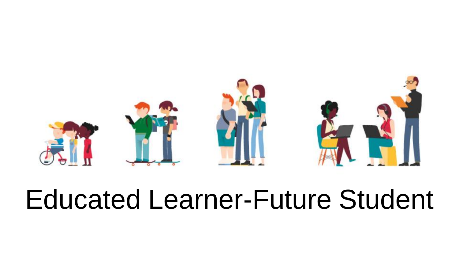

# Educated Learner-Future Student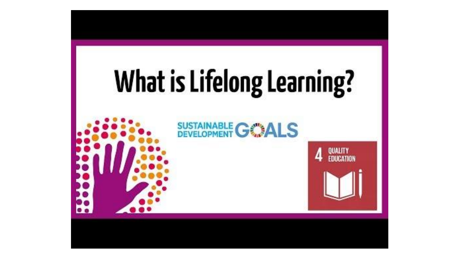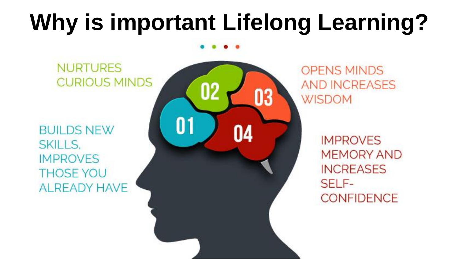## **Why is important Lifelong Learning?**

**NURTURES CURIOUS MINDS** 

**BUILDS NEW** SKILLS. **IMPROVES THOSE YOU ALREADY HAVE** 



**OPENS MINDS AND INCREASES WISDOM** 

> **IMPROVES MEMORY AND INCREASES** SELF-**CONFIDENCE**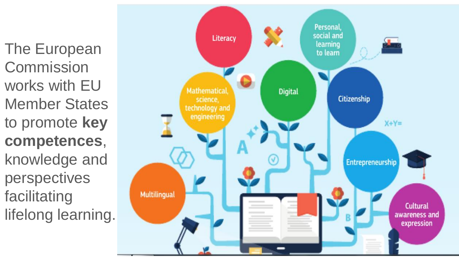The European **Commission** works with EU Member States to promote **key competences**, knowledge and perspectives facilitating lifelong learning.

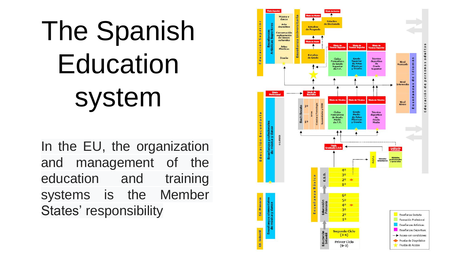# The Spanish Education system

In the EU, the organization and management of the education and training systems is the Member States' responsibility

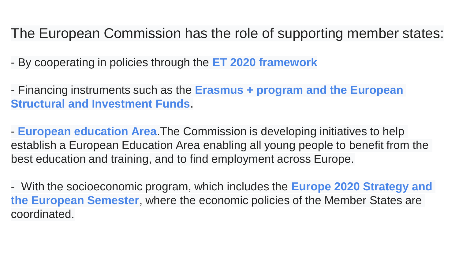## The European Commission has the role of supporting member states:

- By cooperating in policies through the **ET 2020 framework**
- Financing instruments such as the **Erasmus + program and the European Structural and Investment Funds**.
- **European education Area**.The Commission is developing initiatives to help establish a European Education Area enabling all young people to benefit from the best education and training, and to find employment across Europe.
- With the socioeconomic program, which includes the **Europe 2020 Strategy and the European Semester**, where the economic policies of the Member States are coordinated.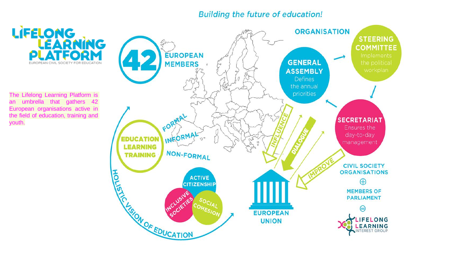#### Building the future of education!